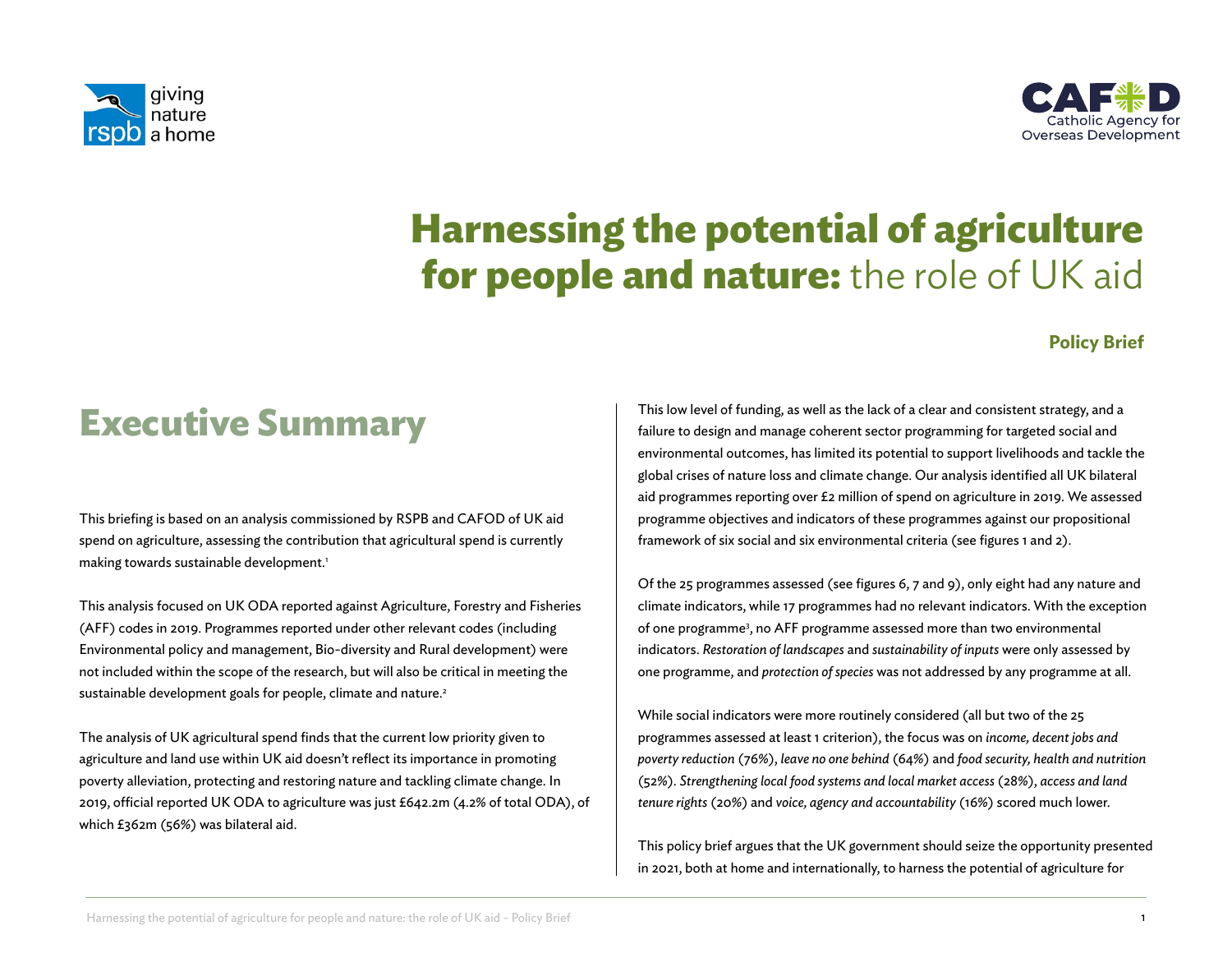



# **Harnessing the potential of agriculture for people and nature:** the role of UK aid

### **Policy Brief**

# **Executive Summary**

This briefing is based on an analysis commissioned by RSPB and CAFOD of UK aid spend on agriculture, assessing the contribution that agricultural spend is currently making towards sustainable development.<sup>1</sup>

This analysis focused on UK ODA reported against Agriculture, Forestry and Fisheries (AFF) codes in 2019. Programmes reported under other relevant codes (including Environmental policy and management, Bio-diversity and Rural development) were not included within the scope of the research, but will also be critical in meeting the sustainable development goals for people, climate and nature.<sup>2</sup>

The analysis of UK agricultural spend finds that the current low priority given to agriculture and land use within UK aid doesn't reflect its importance in promoting poverty alleviation, protecting and restoring nature and tackling climate change. In 2019, official reported UK ODA to agriculture was just £642.2m (4.2% of total ODA), of which £362m (56%) was bilateral aid.

This low level of funding, as well as the lack of a clear and consistent strategy, and a failure to design and manage coherent sector programming for targeted social and environmental outcomes, has limited its potential to support livelihoods and tackle the global crises of nature loss and climate change. Our analysis identified all UK bilateral aid programmes reporting over £2 million of spend on agriculture in 2019. We assessed programme objectives and indicators of these programmes against our propositional framework of six social and six environmental criteria (see figures 1 and 2).

Of the 25 programmes assessed (see figures 6, 7 and 9), only eight had any nature and climate indicators, while 17 programmes had no relevant indicators. With the exception of one programme<sup>3</sup>, no AFF programme assessed more than two environmental indicators. *Restoration of landscapes* and *sustainability of inputs* were only assessed by one programme, and *protection of species* was not addressed by any programme at all.

While social indicators were more routinely considered (all but two of the 25 programmes assessed at least 1 criterion), the focus was on *income, decent jobs and poverty reduction* (76%), *leave no one behind* (64%) and *food security, health and nutrition* (52%). *Strengthening local food systems and local market access* (28%), *access and land tenure rights* (20%) and *voice, agency and accountability* (16%) scored much lower.

This policy brief argues that the UK government should seize the opportunity presented in 2021, both at home and internationally, to harness the potential of agriculture for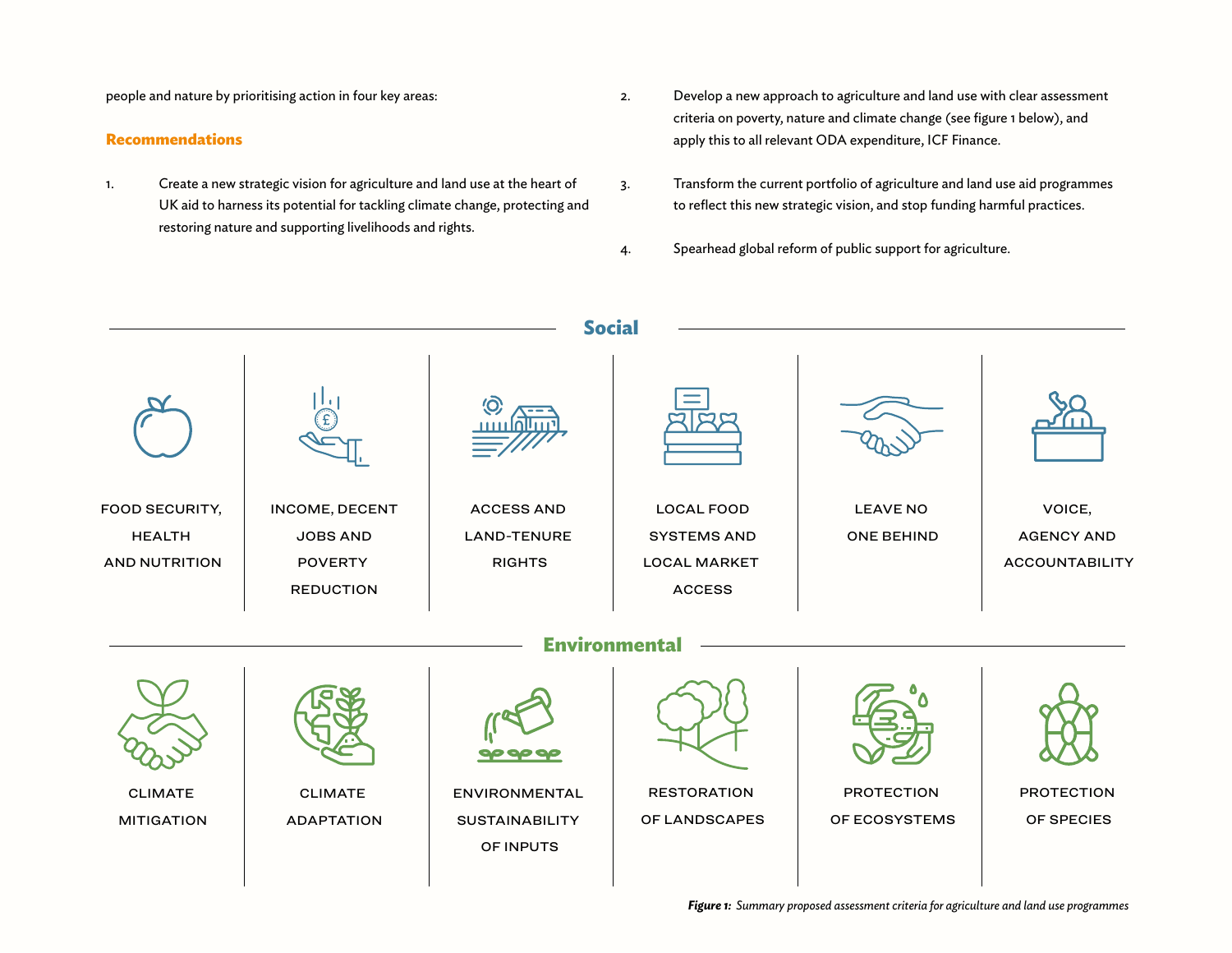people and nature by prioritising action in four key areas:

#### **Recommendations**

- 1. Create a new strategic vision for agriculture and land use at the heart of UK aid to harness its potential for tackling climate change, protecting and restoring nature and supporting livelihoods and rights.
- 2. Develop a new approach to agriculture and land use with clear assessment criteria on poverty, nature and climate change (see figure 1 below), and apply this to all relevant ODA expenditure, ICF Finance.
- 3. Transform the current portfolio of agriculture and land use aid programmes to reflect this new strategic vision, and stop funding harmful practices.
- 4. Spearhead global reform of public support for agriculture.

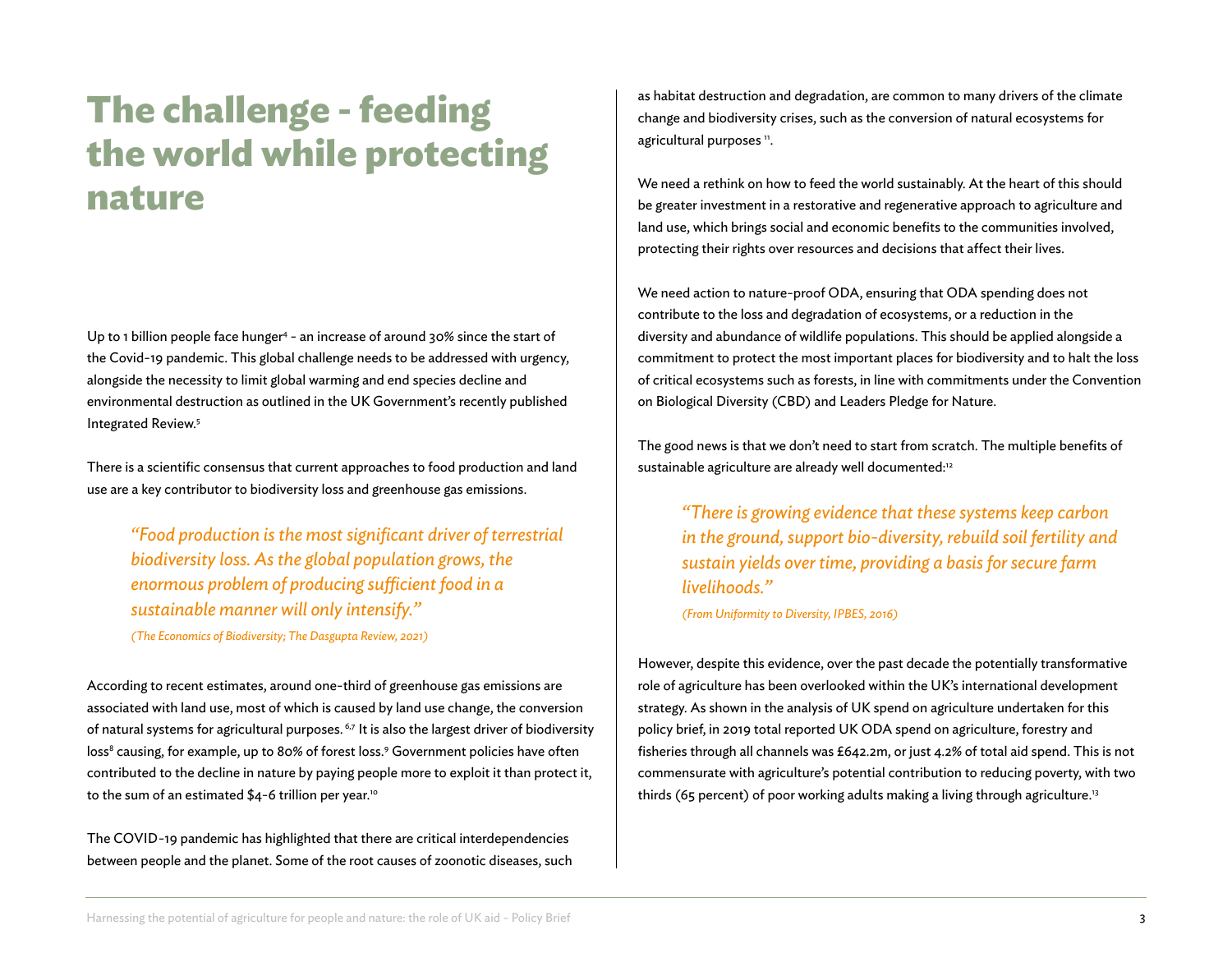# **The challenge - feeding the world while protecting nature**

Up to 1 billion people face hunger<sup>4</sup> - an increase of around 30% since the start of the Covid-19 pandemic. This global challenge needs to be addressed with urgency, alongside the necessity to limit global warming and end species decline and environmental destruction as outlined in the UK Government's recently published Integrated Review.5

There is a scientific consensus that current approaches to food production and land use are a key contributor to biodiversity loss and greenhouse gas emissions.

*"Food production is the most significant driver of terrestrial biodiversity loss. As the global population grows, the enormous problem of producing sufficient food in a sustainable manner will only intensify."* 

*(The Economics of Biodiversity; The Dasgupta Review, 2021)*

According to recent estimates, around one-third of greenhouse gas emissions are associated with land use, most of which is caused by land use change, the conversion of natural systems for agricultural purposes.<sup>6,7</sup> It is also the largest driver of biodiversity loss<sup>8</sup> causing, for example, up to 80% of forest loss.<sup>9</sup> Government policies have often contributed to the decline in nature by paying people more to exploit it than protect it, to the sum of an estimated \$4-6 trillion per year.<sup>10</sup>

The COVID-19 pandemic has highlighted that there are critical interdependencies between people and the planet. Some of the root causes of zoonotic diseases, such as habitat destruction and degradation, are common to many drivers of the climate change and biodiversity crises, such as the conversion of natural ecosystems for agricultural purposes ".

We need a rethink on how to feed the world sustainably. At the heart of this should be greater investment in a restorative and regenerative approach to agriculture and land use, which brings social and economic benefits to the communities involved, protecting their rights over resources and decisions that affect their lives.

We need action to nature-proof ODA, ensuring that ODA spending does not contribute to the loss and degradation of ecosystems, or a reduction in the diversity and abundance of wildlife populations. This should be applied alongside a commitment to protect the most important places for biodiversity and to halt the loss of critical ecosystems such as forests, in line with commitments under the Convention on Biological Diversity (CBD) and Leaders Pledge for Nature.

The good news is that we don't need to start from scratch. The multiple benefits of sustainable agriculture are already well documented:<sup>12</sup>

*"There is growing evidence that these systems keep carbon in the ground, support bio-diversity, rebuild soil fertility and sustain yields over time, providing a basis for secure farm livelihoods."* 

*(From Uniformity to Diversity, IPBES, 2016)*

However, despite this evidence, over the past decade the potentially transformative role of agriculture has been overlooked within the UK's international development strategy. As shown in the analysis of UK spend on agriculture undertaken for this policy brief, in 2019 total reported UK ODA spend on agriculture, forestry and fisheries through all channels was £642.2m, or just 4.2% of total aid spend. This is not commensurate with agriculture's potential contribution to reducing poverty, with two thirds (65 percent) of poor working adults making a living through agriculture.<sup>13</sup>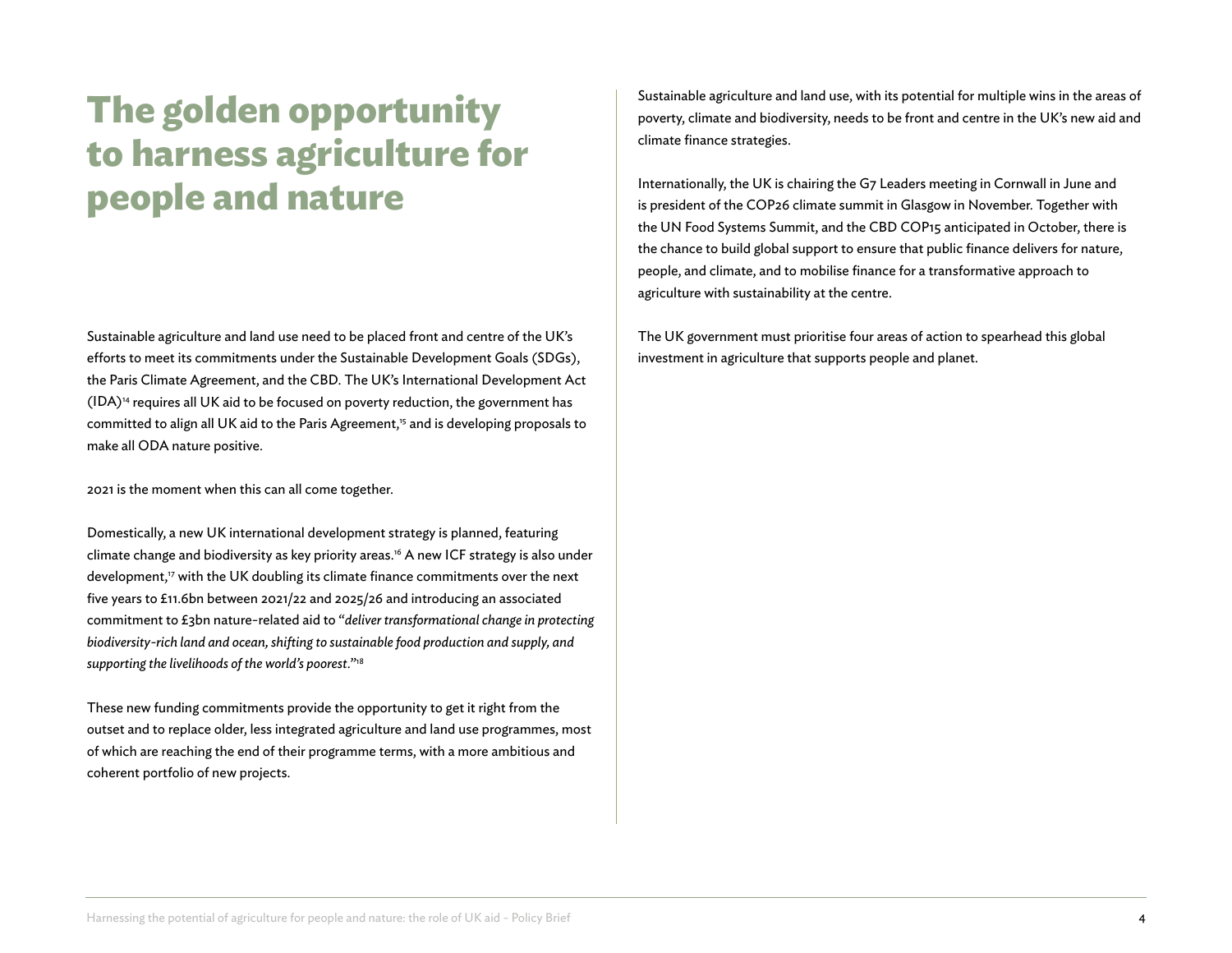# **The golden opportunity to harness agriculture for people and nature**

Sustainable agriculture and land use need to be placed front and centre of the UK's efforts to meet its commitments under the Sustainable Development Goals (SDGs), the Paris Climate Agreement, and the CBD. The UK's International Development Act  $(IDA)<sup>14</sup>$  requires all UK aid to be focused on poverty reduction, the government has committed to align all UK aid to the Paris Agreement,<sup>15</sup> and is developing proposals to make all ODA nature positive.

2021 is the moment when this can all come together.

Domestically, a new UK international development strategy is planned, featuring climate change and biodiversity as key priority areas.<sup>16</sup> A new ICF strategy is also under development,<sup>17</sup> with the UK doubling its climate finance commitments over the next five years to £11.6bn between 2021/22 and 2025/26 and introducing an associated commitment to £3bn nature-related aid to "*deliver transformational change in protecting biodiversity-rich land and ocean, shifting to sustainable food production and supply, and supporting the livelihoods of the world's poorest*."18

These new funding commitments provide the opportunity to get it right from the outset and to replace older, less integrated agriculture and land use programmes, most of which are reaching the end of their programme terms, with a more ambitious and coherent portfolio of new projects.

Sustainable agriculture and land use, with its potential for multiple wins in the areas of poverty, climate and biodiversity, needs to be front and centre in the UK's new aid and climate finance strategies.

Internationally, the UK is chairing the G7 Leaders meeting in Cornwall in June and is president of the COP26 climate summit in Glasgow in November. Together with the UN Food Systems Summit, and the CBD COP15 anticipated in October, there is the chance to build global support to ensure that public finance delivers for nature, people, and climate, and to mobilise finance for a transformative approach to agriculture with sustainability at the centre.

The UK government must prioritise four areas of action to spearhead this global investment in agriculture that supports people and planet.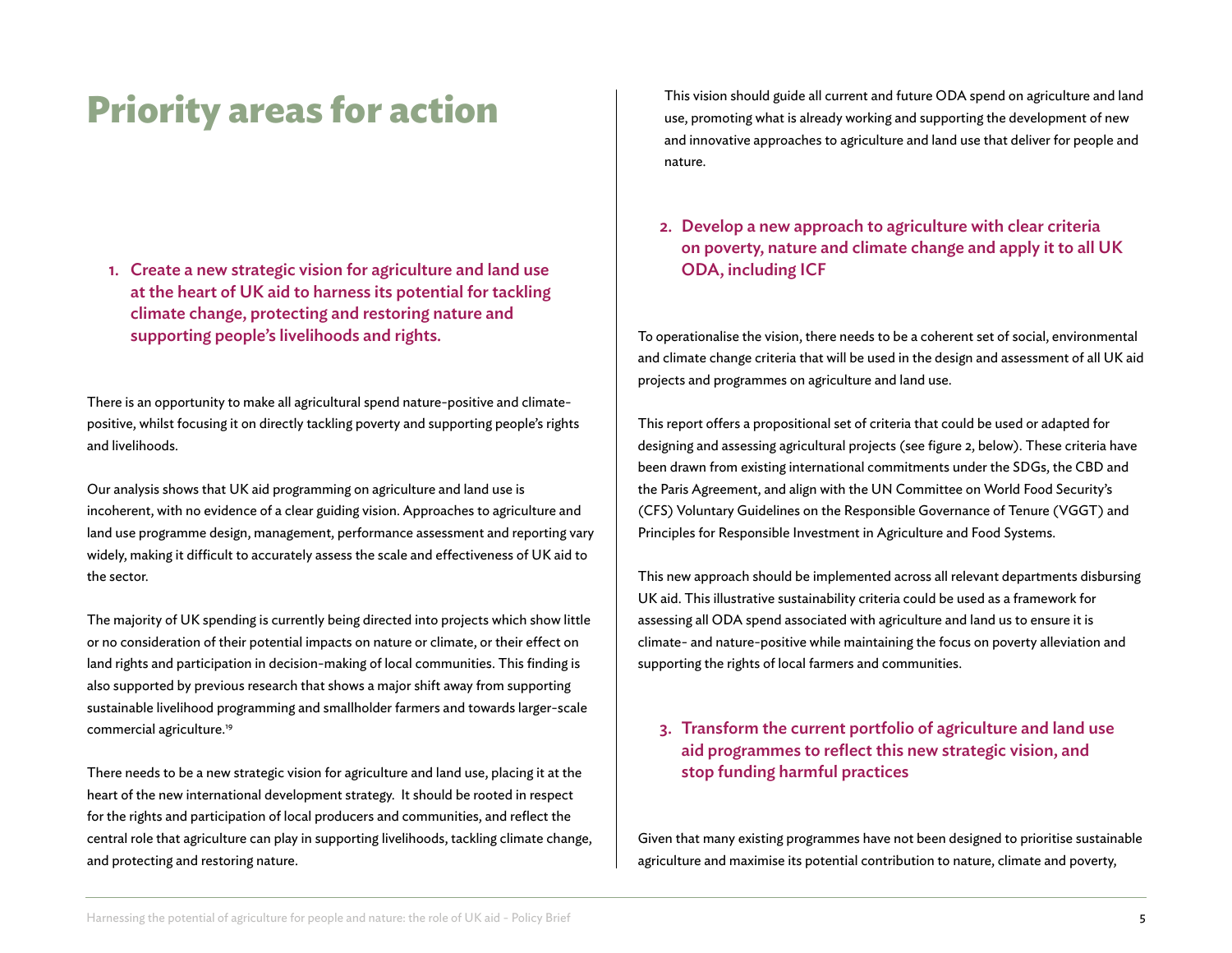# **Priority areas for action**

1. Create a new strategic vision for agriculture and land use at the heart of UK aid to harness its potential for tackling climate change, protecting and restoring nature and supporting people's livelihoods and rights.

There is an opportunity to make all agricultural spend nature-positive and climatepositive, whilst focusing it on directly tackling poverty and supporting people's rights and livelihoods.

Our analysis shows that UK aid programming on agriculture and land use is incoherent, with no evidence of a clear guiding vision. Approaches to agriculture and land use programme design, management, performance assessment and reporting vary widely, making it difficult to accurately assess the scale and effectiveness of UK aid to the sector.

The majority of UK spending is currently being directed into projects which show little or no consideration of their potential impacts on nature or climate, or their effect on land rights and participation in decision-making of local communities. This finding is also supported by previous research that shows a major shift away from supporting sustainable livelihood programming and smallholder farmers and towards larger-scale commercial agriculture.19

There needs to be a new strategic vision for agriculture and land use, placing it at the heart of the new international development strategy. It should be rooted in respect for the rights and participation of local producers and communities, and reflect the central role that agriculture can play in supporting livelihoods, tackling climate change, and protecting and restoring nature.

This vision should guide all current and future ODA spend on agriculture and land use, promoting what is already working and supporting the development of new and innovative approaches to agriculture and land use that deliver for people and nature.

2. Develop a new approach to agriculture with clear criteria on poverty, nature and climate change and apply it to all UK ODA, including ICF

To operationalise the vision, there needs to be a coherent set of social, environmental and climate change criteria that will be used in the design and assessment of all UK aid projects and programmes on agriculture and land use.

This report offers a propositional set of criteria that could be used or adapted for designing and assessing agricultural projects (see figure 2, below). These criteria have been drawn from existing international commitments under the SDGs, the CBD and the Paris Agreement, and align with the UN Committee on World Food Security's (CFS) Voluntary Guidelines on the Responsible Governance of Tenure (VGGT) and Principles for Responsible Investment in Agriculture and Food Systems.

This new approach should be implemented across all relevant departments disbursing UK aid. This illustrative sustainability criteria could be used as a framework for assessing all ODA spend associated with agriculture and land us to ensure it is climate- and nature-positive while maintaining the focus on poverty alleviation and supporting the rights of local farmers and communities.

3. Transform the current portfolio of agriculture and land use aid programmes to reflect this new strategic vision, and stop funding harmful practices

Given that many existing programmes have not been designed to prioritise sustainable agriculture and maximise its potential contribution to nature, climate and poverty,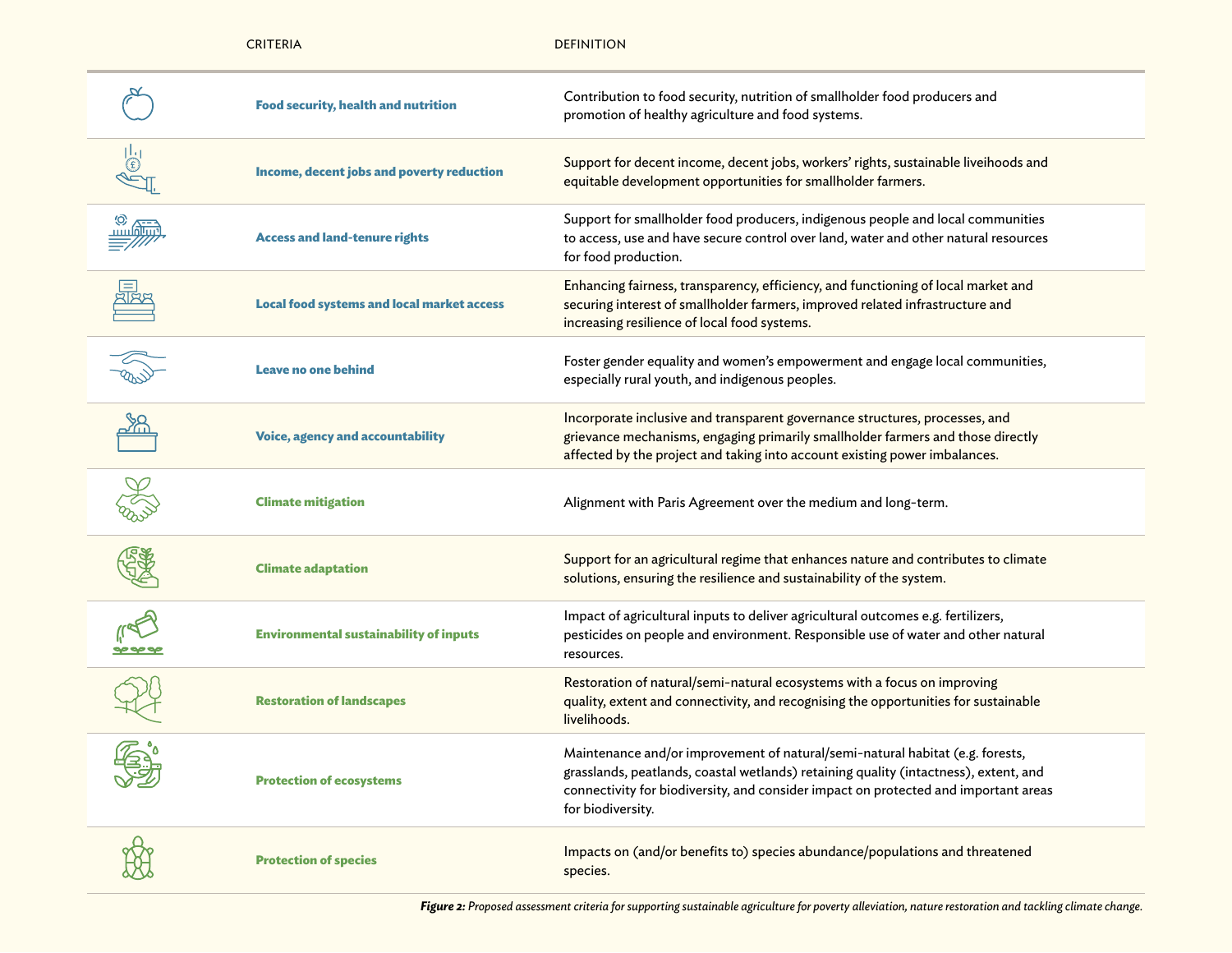|    | <b>CRITERIA</b>                                   | <b>DEFINITION</b>                                                                                                                                                                                                                                                                 |
|----|---------------------------------------------------|-----------------------------------------------------------------------------------------------------------------------------------------------------------------------------------------------------------------------------------------------------------------------------------|
|    | <b>Food security, health and nutrition</b>        | Contribution to food security, nutrition of smallholder food producers and<br>promotion of healthy agriculture and food systems.                                                                                                                                                  |
| Œ, | Income, decent jobs and poverty reduction         | Support for decent income, decent jobs, workers' rights, sustainable liveihoods and<br>equitable development opportunities for smallholder farmers.                                                                                                                               |
|    | <b>Access and land-tenure rights</b>              | Support for smallholder food producers, indigenous people and local communities<br>to access, use and have secure control over land, water and other natural resources<br>for food production.                                                                                    |
|    | <b>Local food systems and local market access</b> | Enhancing fairness, transparency, efficiency, and functioning of local market and<br>securing interest of smallholder farmers, improved related infrastructure and<br>increasing resilience of local food systems.                                                                |
|    | <b>Leave no one behind</b>                        | Foster gender equality and women's empowerment and engage local communities,<br>especially rural youth, and indigenous peoples.                                                                                                                                                   |
|    | <b>Voice, agency and accountability</b>           | Incorporate inclusive and transparent governance structures, processes, and<br>grievance mechanisms, engaging primarily smallholder farmers and those directly<br>affected by the project and taking into account existing power imbalances.                                      |
|    | <b>Climate mitigation</b>                         | Alignment with Paris Agreement over the medium and long-term.                                                                                                                                                                                                                     |
|    | <b>Climate adaptation</b>                         | Support for an agricultural regime that enhances nature and contributes to climate<br>solutions, ensuring the resilience and sustainability of the system.                                                                                                                        |
|    | <b>Environmental sustainability of inputs</b>     | Impact of agricultural inputs to deliver agricultural outcomes e.g. fertilizers,<br>pesticides on people and environment. Responsible use of water and other natural<br>resources.                                                                                                |
|    | <b>Restoration of landscapes</b>                  | Restoration of natural/semi-natural ecosystems with a focus on improving<br>quality, extent and connectivity, and recognising the opportunities for sustainable<br>livelihoods.                                                                                                   |
|    | <b>Protection of ecosystems</b>                   | Maintenance and/or improvement of natural/semi-natural habitat (e.g. forests,<br>grasslands, peatlands, coastal wetlands) retaining quality (intactness), extent, and<br>connectivity for biodiversity, and consider impact on protected and important areas<br>for biodiversity. |
|    | <b>Protection of species</b>                      | Impacts on (and/or benefits to) species abundance/populations and threatened<br>species.                                                                                                                                                                                          |

**Figure 2:** Proposed assessment criteria for supporting sustainable agriculture for poverty alleviation, nature restoration and tackling climate change.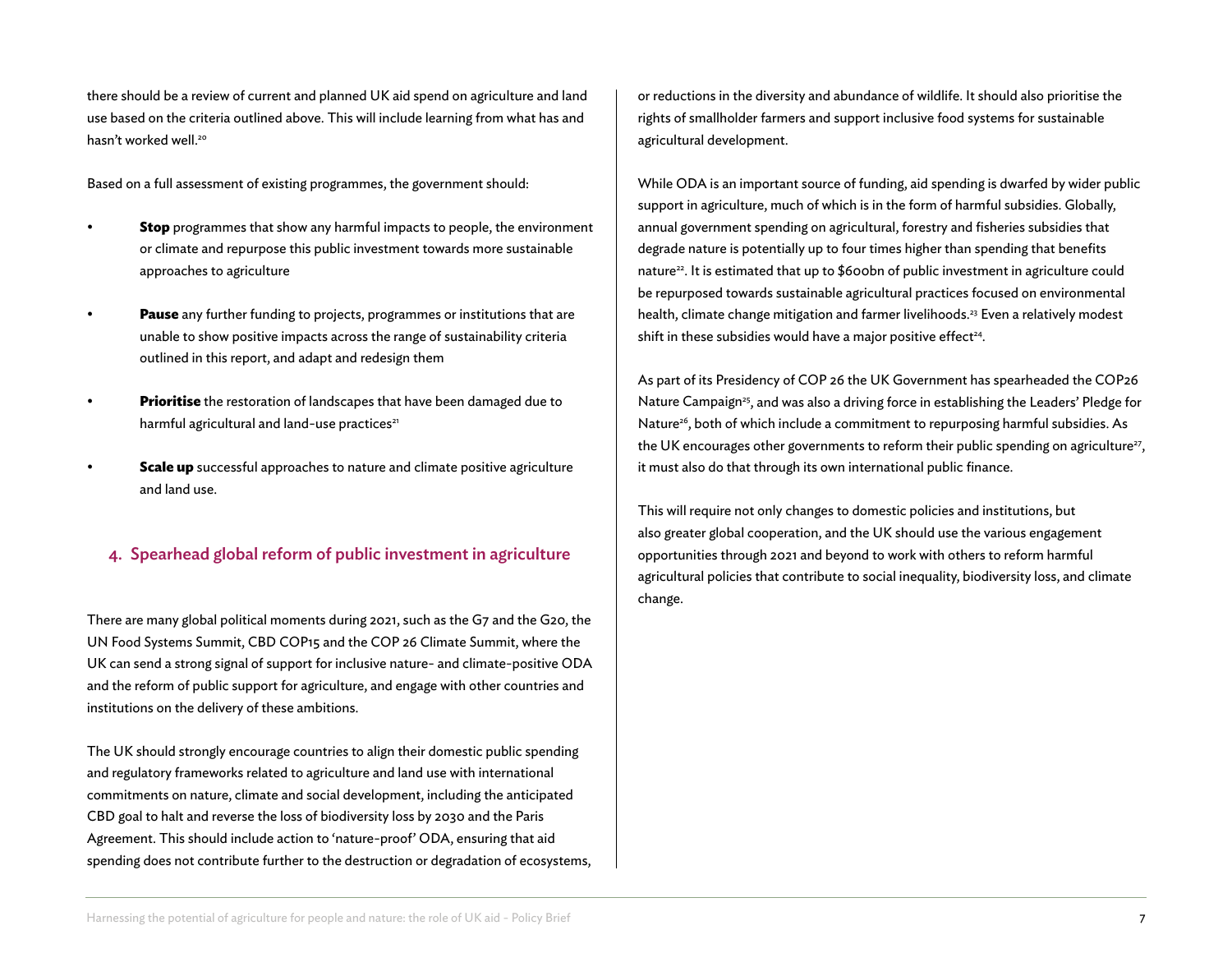there should be a review of current and planned UK aid spend on agriculture and land use based on the criteria outlined above. This will include learning from what has and hasn't worked well.<sup>20</sup>

Based on a full assessment of existing programmes, the government should:

- **Stop** programmes that show any harmful impacts to people, the environment or climate and repurpose this public investment towards more sustainable approaches to agriculture
- **Pause** any further funding to projects, programmes or institutions that are unable to show positive impacts across the range of sustainability criteria outlined in this report, and adapt and redesign them
- **Prioritise** the restoration of landscapes that have been damaged due to harmful agricultural and land-use practices<sup>21</sup>
- **Scale up** successful approaches to nature and climate positive agriculture and land use.

### 4. Spearhead global reform of public investment in agriculture

There are many global political moments during 2021, such as the G7 and the G20, the UN Food Systems Summit, CBD COP15 and the COP 26 Climate Summit, where the UK can send a strong signal of support for inclusive nature- and climate-positive ODA and the reform of public support for agriculture, and engage with other countries and institutions on the delivery of these ambitions.

The UK should strongly encourage countries to align their domestic public spending and regulatory frameworks related to agriculture and land use with international commitments on nature, climate and social development, including the anticipated CBD goal to halt and reverse the loss of biodiversity loss by 2030 and the Paris Agreement. This should include action to 'nature-proof' ODA, ensuring that aid spending does not contribute further to the destruction or degradation of ecosystems, or reductions in the diversity and abundance of wildlife. It should also prioritise the rights of smallholder farmers and support inclusive food systems for sustainable agricultural development.

While ODA is an important source of funding, aid spending is dwarfed by wider public support in agriculture, much of which is in the form of harmful subsidies. Globally, annual government spending on agricultural, forestry and fisheries subsidies that degrade nature is potentially up to four times higher than spending that benefits nature<sup>22</sup>. It is estimated that up to \$600bn of public investment in agriculture could be repurposed towards sustainable agricultural practices focused on environmental health, climate change mitigation and farmer livelihoods.<sup>23</sup> Even a relatively modest shift in these subsidies would have a major positive effect<sup>24</sup>.

As part of its Presidency of COP 26 the UK Government has spearheaded the COP26 Nature Campaign<sup>25</sup>, and was also a driving force in establishing the Leaders' Pledge for Nature<sup>26</sup>, both of which include a commitment to repurposing harmful subsidies. As the UK encourages other governments to reform their public spending on agriculture<sup>27</sup>, it must also do that through its own international public finance.

This will require not only changes to domestic policies and institutions, but also greater global cooperation, and the UK should use the various engagement opportunities through 2021 and beyond to work with others to reform harmful agricultural policies that contribute to social inequality, biodiversity loss, and climate change.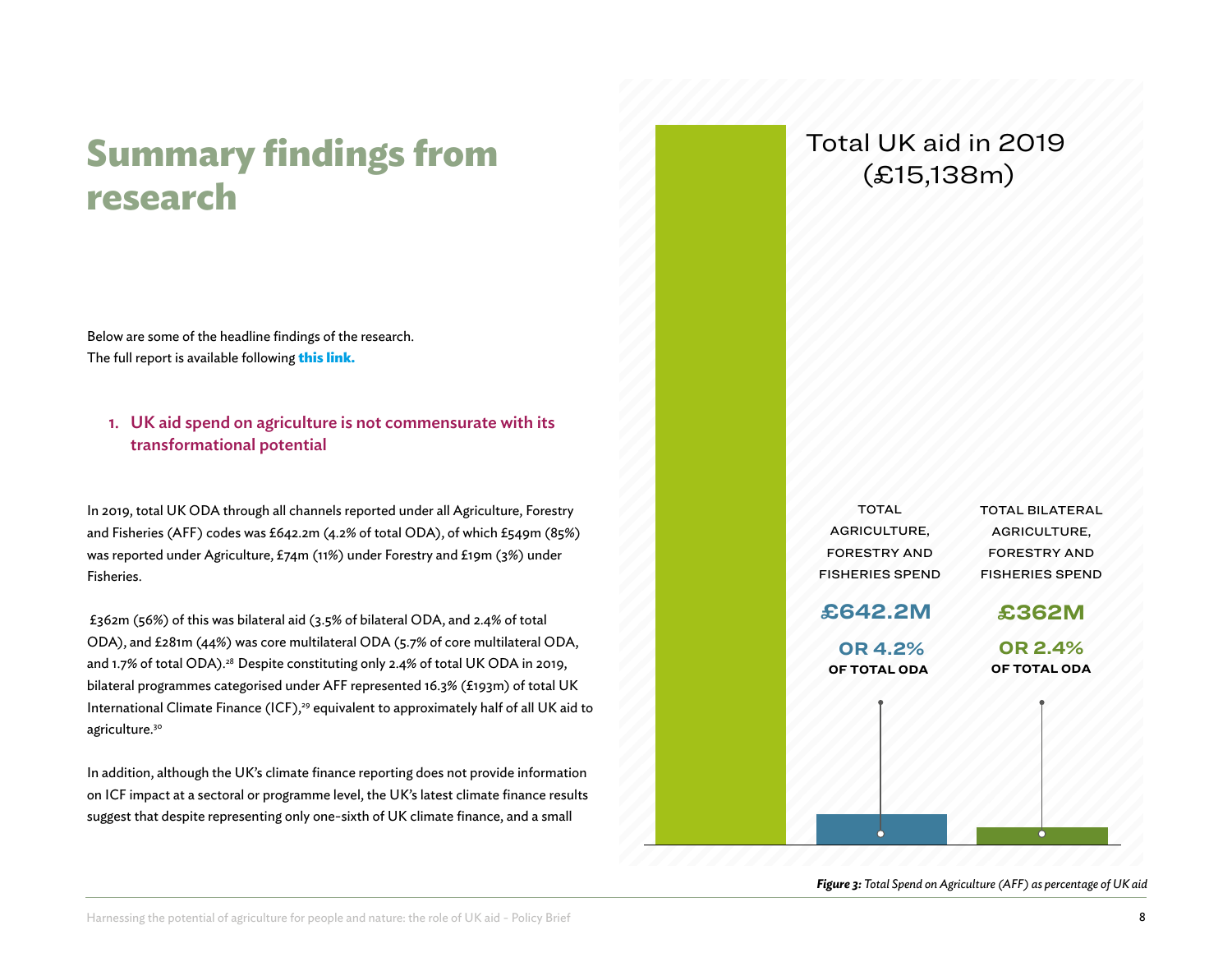# **Summary findings from research**

Below are some of the headline findings of the research. The full report is available following **[this link.](https://www.rspb.org.uk/globalassets/downloads/documents/conservation--sustainability/supporting-analysis-harnessing-the-potential-of-agriculture-for-people-and-nature-the-role-of-uk-aid.pdf)**

### 1. UK aid spend on agriculture is not commensurate with its transformational potential

In 2019, total UK ODA through all channels reported under all Agriculture, Forestry and Fisheries (AFF) codes was £642.2m (4.2% of total ODA), of which £549m (85%) was reported under Agriculture, £74m (11%) under Forestry and £19m (3%) under Fisheries.

 £362m (56%) of this was bilateral aid (3.5% of bilateral ODA, and 2.4% of total ODA), and £281m (44%) was core multilateral ODA (5.7% of core multilateral ODA, and 1.7% of total ODA).<sup>28</sup> Despite constituting only 2.4% of total UK ODA in 2019, bilateral programmes categorised under AFF represented 16.3% (£193m) of total UK International Climate Finance (ICF),<sup>29</sup> equivalent to approximately half of all UK aid to agriculture.30

In addition, although the UK's climate finance reporting does not provide information on ICF impact at a sectoral or programme level, the UK's latest climate finance results suggest that despite representing only one-sixth of UK climate finance, and a small

### Total UK aid in 2019 (£15,138m)

| <b>TOTAL</b><br>AGRICULTURE, | <b>TOTAL BILATERAL</b> |
|------------------------------|------------------------|
|                              |                        |
|                              | AGRICULTURE,           |
| <b>FORESTRY AND</b>          | <b>FORESTRY AND</b>    |
| <b>FISHERIES SPEND</b>       | <b>FISHERIES SPEND</b> |
|                              |                        |
|                              | £362M                  |
|                              | <b>OR 2.4%</b>         |
| OF TOTAL ODA                 | OF TOTAL ODA           |
|                              |                        |
|                              |                        |
|                              |                        |
|                              |                        |
|                              |                        |
|                              |                        |
|                              |                        |
|                              |                        |
|                              | £642.2M<br>OR 4.2%     |

*Figure 3: Total Spend on Agriculture (AFF) as percentage of UK aid*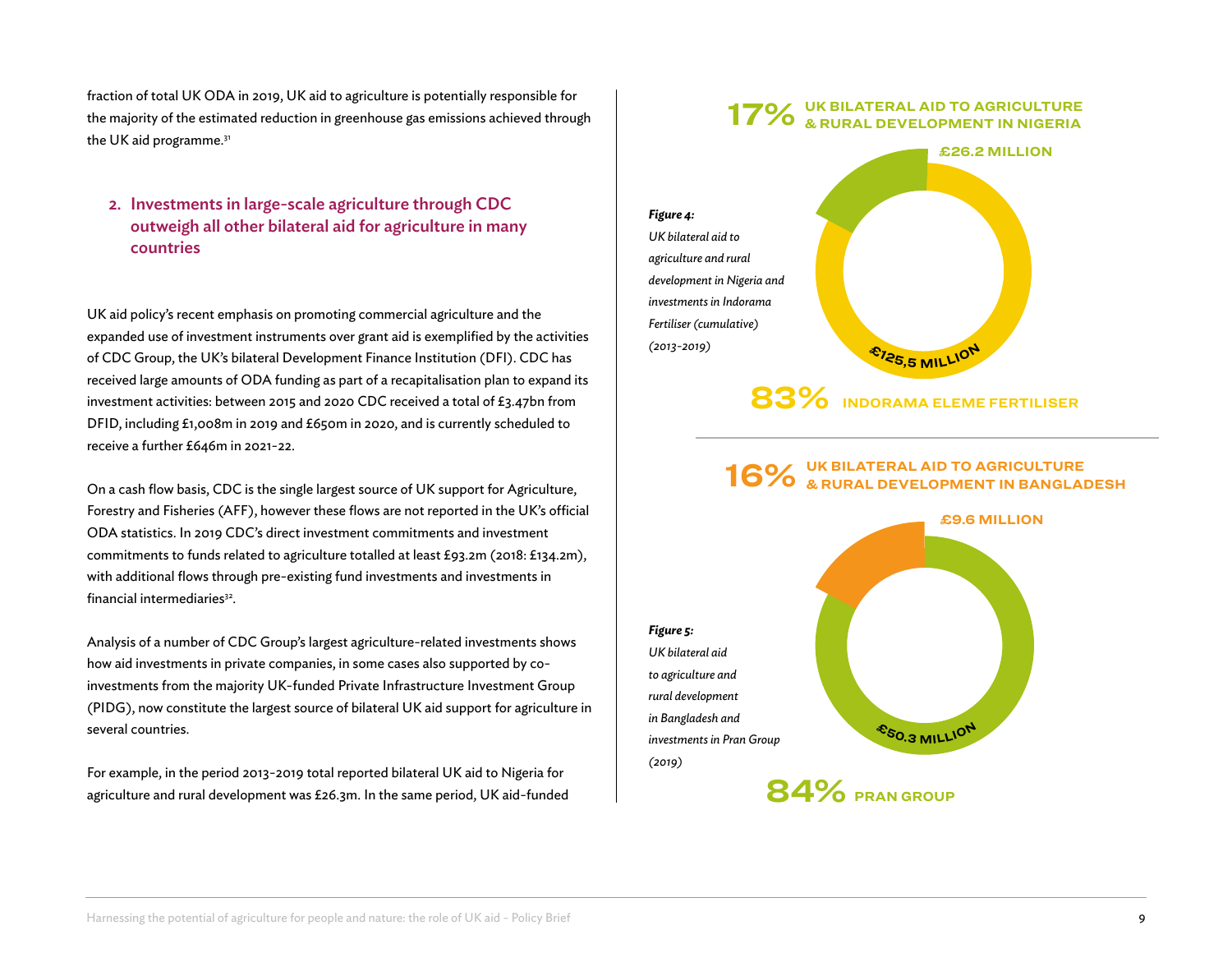fraction of total UK ODA in 2019, UK aid to agriculture is potentially responsible for the majority of the estimated reduction in greenhouse gas emissions achieved through the UK aid programme.<sup>31</sup>

2. Investments in large-scale agriculture through CDC outweigh all other bilateral aid for agriculture in many countries

UK aid policy's recent emphasis on promoting commercial agriculture and the expanded use of investment instruments over grant aid is exemplified by the activities of CDC Group, the UK's bilateral Development Finance Institution (DFI). CDC has received large amounts of ODA funding as part of a recapitalisation plan to expand its investment activities: between 2015 and 2020 CDC received a total of £3.47bn from DFID, including £1,008m in 2019 and £650m in 2020, and is currently scheduled to receive a further £646m in 2021-22.

On a cash flow basis, CDC is the single largest source of UK support for Agriculture, Forestry and Fisheries (AFF), however these flows are not reported in the UK's official ODA statistics. In 2019 CDC's direct investment commitments and investment commitments to funds related to agriculture totalled at least £93.2m (2018: £134.2m), with additional flows through pre-existing fund investments and investments in financial intermediaries<sup>32</sup>.

Analysis of a number of CDC Group's largest agriculture-related investments shows how aid investments in private companies, in some cases also supported by coinvestments from the majority UK-funded Private Infrastructure Investment Group (PIDG), now constitute the largest source of bilateral UK aid support for agriculture in several countries.

For example, in the period 2013-2019 total reported bilateral UK aid to Nigeria for agriculture and rural development was £26.3m. In the same period, UK aid-funded

#### **UK BILATERAL AID TO AGRICULTURE & RURAL DEVELOPMENT IN NIGERIA 17%**



**INDORAMA ELEME FERTILISER 83%**

#### **UK BILATERAL AID TO AGRICULTURE 16%** UK BILATERAL AID TO AGRICULTURE<br>**16%** & RURAL DEVELOPMENT IN BANGLADESH

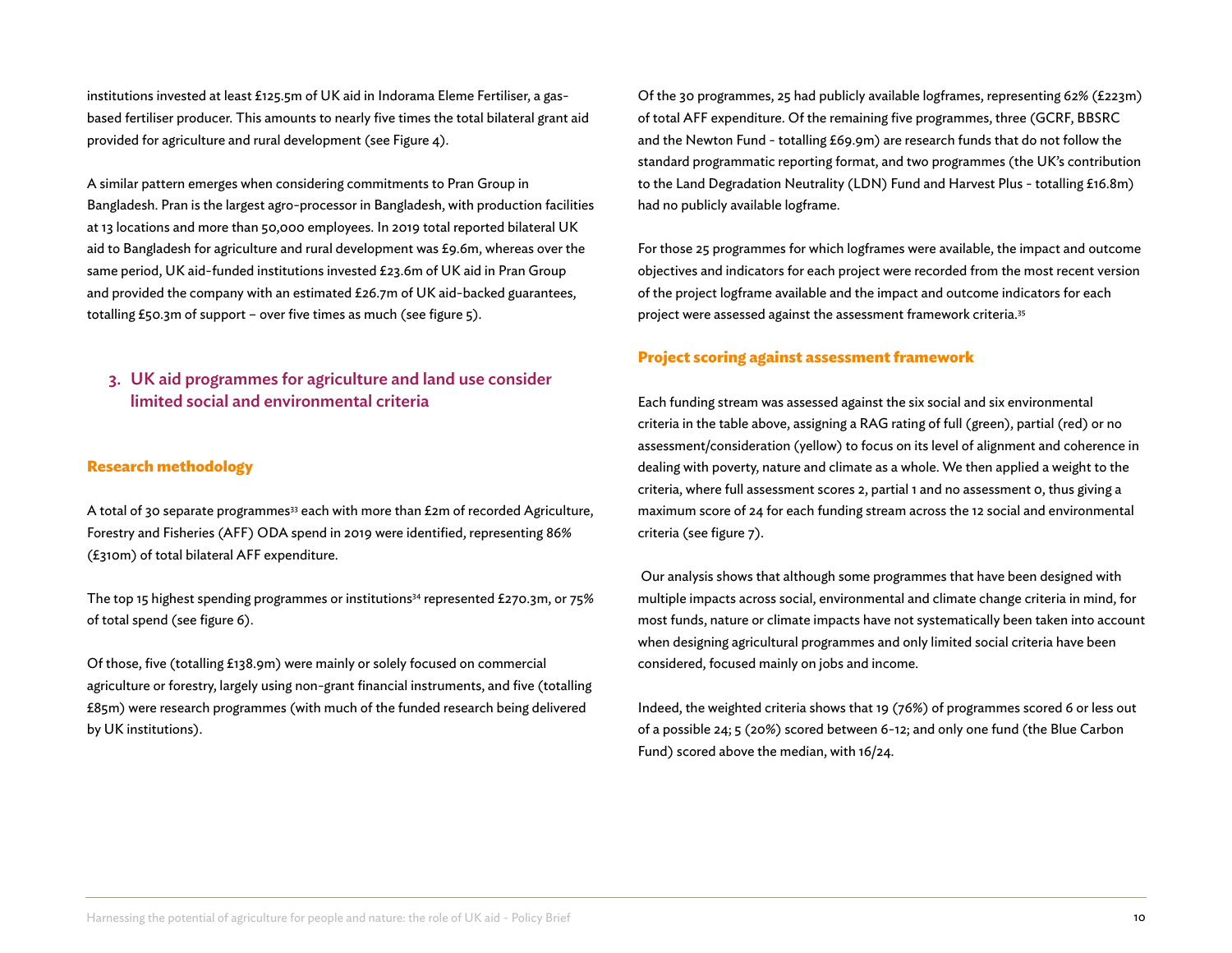institutions invested at least £125.5m of UK aid in Indorama Eleme Fertiliser, a gasbased fertiliser producer. This amounts to nearly five times the total bilateral grant aid provided for agriculture and rural development (see Figure 4).

A similar pattern emerges when considering commitments to Pran Group in Bangladesh. Pran is the largest agro-processor in Bangladesh, with production facilities at 13 locations and more than 50,000 employees. In 2019 total reported bilateral UK aid to Bangladesh for agriculture and rural development was £9.6m, whereas over the same period, UK aid-funded institutions invested £23.6m of UK aid in Pran Group and provided the company with an estimated £26.7m of UK aid-backed guarantees, totalling £50.3m of support – over five times as much (see figure 5).

### 3. UK aid programmes for agriculture and land use consider limited social and environmental criteria

#### **Research methodology**

A total of 30 separate programmes<sup>33</sup> each with more than £2m of recorded Agriculture, Forestry and Fisheries (AFF) ODA spend in 2019 were identified, representing 86% (£310m) of total bilateral AFF expenditure.

The top 15 highest spending programmes or institutions<sup>34</sup> represented £270.3m, or 75% of total spend (see figure 6).

Of those, five (totalling £138.9m) were mainly or solely focused on commercial agriculture or forestry, largely using non-grant financial instruments, and five (totalling £85m) were research programmes (with much of the funded research being delivered by UK institutions).

Of the 30 programmes, 25 had publicly available logframes, representing 62% (£223m) of total AFF expenditure. Of the remaining five programmes, three (GCRF, BBSRC and the Newton Fund - totalling £69.9m) are research funds that do not follow the standard programmatic reporting format, and two programmes (the UK's contribution to the Land Degradation Neutrality (LDN) Fund and Harvest Plus - totalling £16.8m) had no publicly available logframe.

For those 25 programmes for which logframes were available, the impact and outcome objectives and indicators for each project were recorded from the most recent version of the project logframe available and the impact and outcome indicators for each project were assessed against the assessment framework criteria.35

### **Project scoring against assessment framework**

Each funding stream was assessed against the six social and six environmental criteria in the table above, assigning a RAG rating of full (green), partial (red) or no assessment/consideration (yellow) to focus on its level of alignment and coherence in dealing with poverty, nature and climate as a whole. We then applied a weight to the criteria, where full assessment scores 2, partial 1 and no assessment 0, thus giving a maximum score of 24 for each funding stream across the 12 social and environmental criteria (see figure 7).

Our analysis shows that although some programmes that have been designed with multiple impacts across social, environmental and climate change criteria in mind, for most funds, nature or climate impacts have not systematically been taken into account when designing agricultural programmes and only limited social criteria have been considered, focused mainly on jobs and income.

Indeed, the weighted criteria shows that 19 (76%) of programmes scored 6 or less out of a possible 24; 5 (20%) scored between 6-12; and only one fund (the Blue Carbon Fund) scored above the median, with 16/24.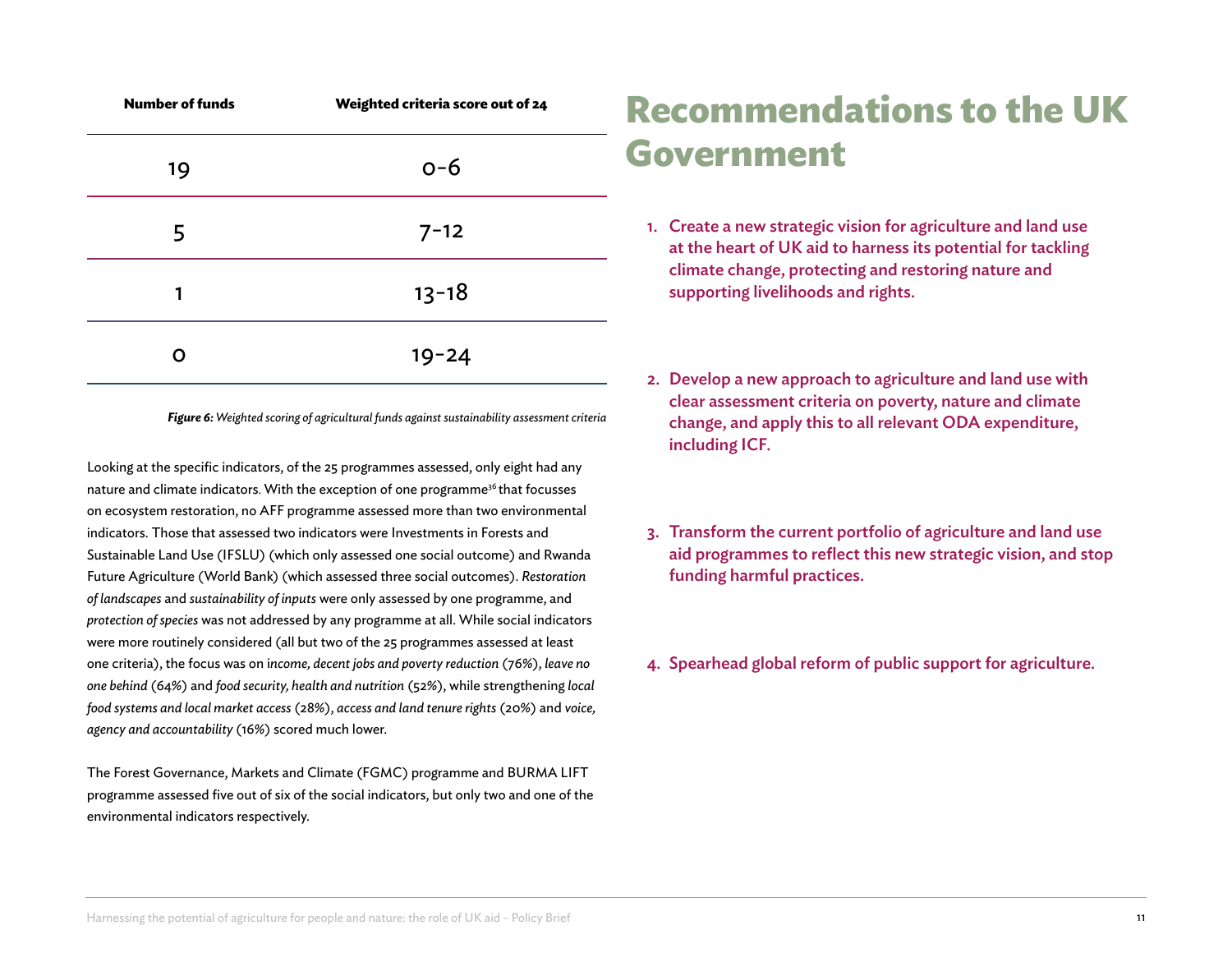| <b>Number of funds</b> | Weighted criteria score out of 24 |  |  |
|------------------------|-----------------------------------|--|--|
| 19                     | $O - 6$                           |  |  |
| 5                      | $7 - 12$                          |  |  |
| 1                      | $13 - 18$                         |  |  |
|                        | $19 - 24$                         |  |  |
|                        |                                   |  |  |

*Figure 6: Weighted scoring of agricultural funds against sustainability assessment criteria*

Looking at the specific indicators, of the 25 programmes assessed, only eight had any nature and climate indicators. With the exception of one programme<sup>36</sup> that focusses on ecosystem restoration, no AFF programme assessed more than two environmental indicators. Those that assessed two indicators were Investments in Forests and Sustainable Land Use (IFSLU) (which only assessed one social outcome) and Rwanda Future Agriculture (World Bank) (which assessed three social outcomes). *Restoration of landscapes* and *sustainability of inputs* were only assessed by one programme, and *protection of species* was not addressed by any programme at all. While social indicators were more routinely considered (all but two of the 25 programmes assessed at least one criteria), the focus was on i*ncome, decent jobs and poverty reduction* (76%), *leave no one behind* (64%) and *food security, health and nutrition* (52%), while strengthening *local food systems and local market access* (28%), *access and land tenure rights* (20%) and *voice, agency and accountability* (16%) scored much lower.

The Forest Governance, Markets and Climate (FGMC) programme and BURMA LIFT programme assessed five out of six of the social indicators, but only two and one of the environmental indicators respectively.

# **Recommendations to the UK Government**

- 1. Create a new strategic vision for agriculture and land use at the heart of UK aid to harness its potential for tackling climate change, protecting and restoring nature and supporting livelihoods and rights.
- 2. Develop a new approach to agriculture and land use with clear assessment criteria on poverty, nature and climate change, and apply this to all relevant ODA expenditure, including ICF.
- 3. Transform the current portfolio of agriculture and land use aid programmes to reflect this new strategic vision, and stop funding harmful practices.
- 4. Spearhead global reform of public support for agriculture.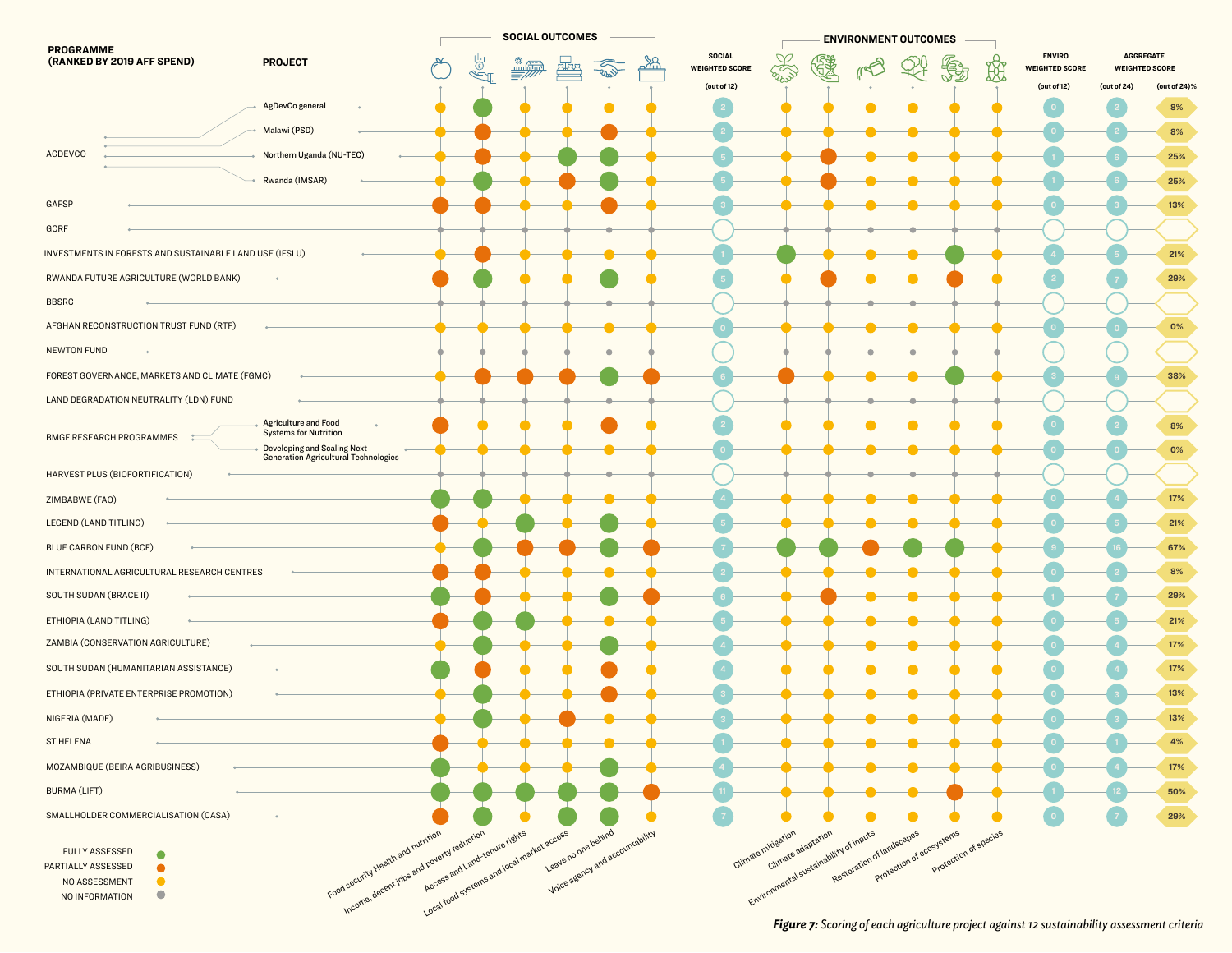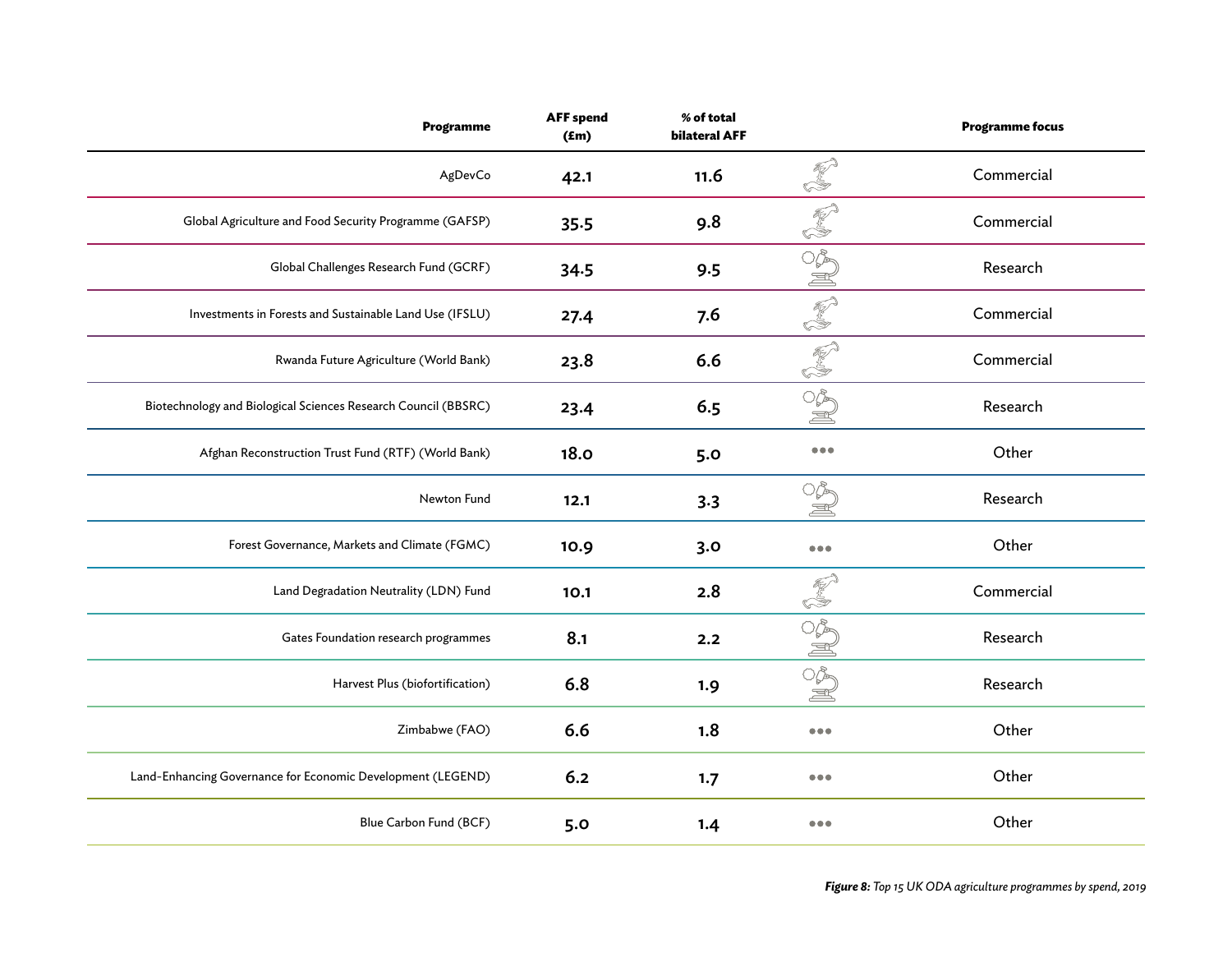| <b>Programme</b>                                               | <b>AFF</b> spend<br>$(\text{fm})$ | % of total<br><b>bilateral AFF</b> |                                                                            | <b>Programme focus</b> |
|----------------------------------------------------------------|-----------------------------------|------------------------------------|----------------------------------------------------------------------------|------------------------|
| AgDevCo                                                        | 42.1                              | 11.6                               | <b>RAND</b>                                                                | Commercial             |
| Global Agriculture and Food Security Programme (GAFSP)         | 35.5                              | 9.8                                | <b>READER</b>                                                              | Commercial             |
| Global Challenges Research Fund (GCRF)                         | 34.5                              | 9.5                                |                                                                            | Research               |
| Investments in Forests and Sustainable Land Use (IFSLU)        | 27.4                              | 7.6                                | <b>PED</b>                                                                 | Commercial             |
| Rwanda Future Agriculture (World Bank)                         | 23.8                              | 6.6                                | <b>CONTROLLER</b>                                                          | Commercial             |
| Biotechnology and Biological Sciences Research Council (BBSRC) | 23.4                              | 6.5                                | OP<br>İ                                                                    | Research               |
| Afghan Reconstruction Trust Fund (RTF) (World Bank)            | 18.0                              | 5.0                                | $\begin{array}{ccccc}\n\bullet & \bullet & \bullet & \bullet\n\end{array}$ | Other                  |
| Newton Fund                                                    | 12.1                              | 3.3                                | 0\$<br>S                                                                   | Research               |
| Forest Governance, Markets and Climate (FGMC)                  | 10.9                              | 3.0                                | $\begin{array}{ccccc}\bullet & \bullet & \bullet & \bullet\end{array}$     | Other                  |
| Land Degradation Neutrality (LDN) Fund                         | 10.1                              | 2.8                                | k<br>S                                                                     | Commercial             |
| Gates Foundation research programmes                           | 8.1                               | 2.2                                | <b>MSWES</b>                                                               | Research               |
| Harvest Plus (biofortification)                                | 6.8                               | 1.9                                |                                                                            | Research               |
| Zimbabwe (FAO)                                                 | 6.6                               | 1.8                                | $\bullet\bullet\bullet$                                                    | Other                  |
| Land-Enhancing Governance for Economic Development (LEGEND)    | 6.2                               | 1.7                                | $\bullet\bullet\bullet$                                                    | Other                  |
| Blue Carbon Fund (BCF)                                         | 5.0                               | 1.4                                | $\bullet\bullet\bullet$                                                    | Other                  |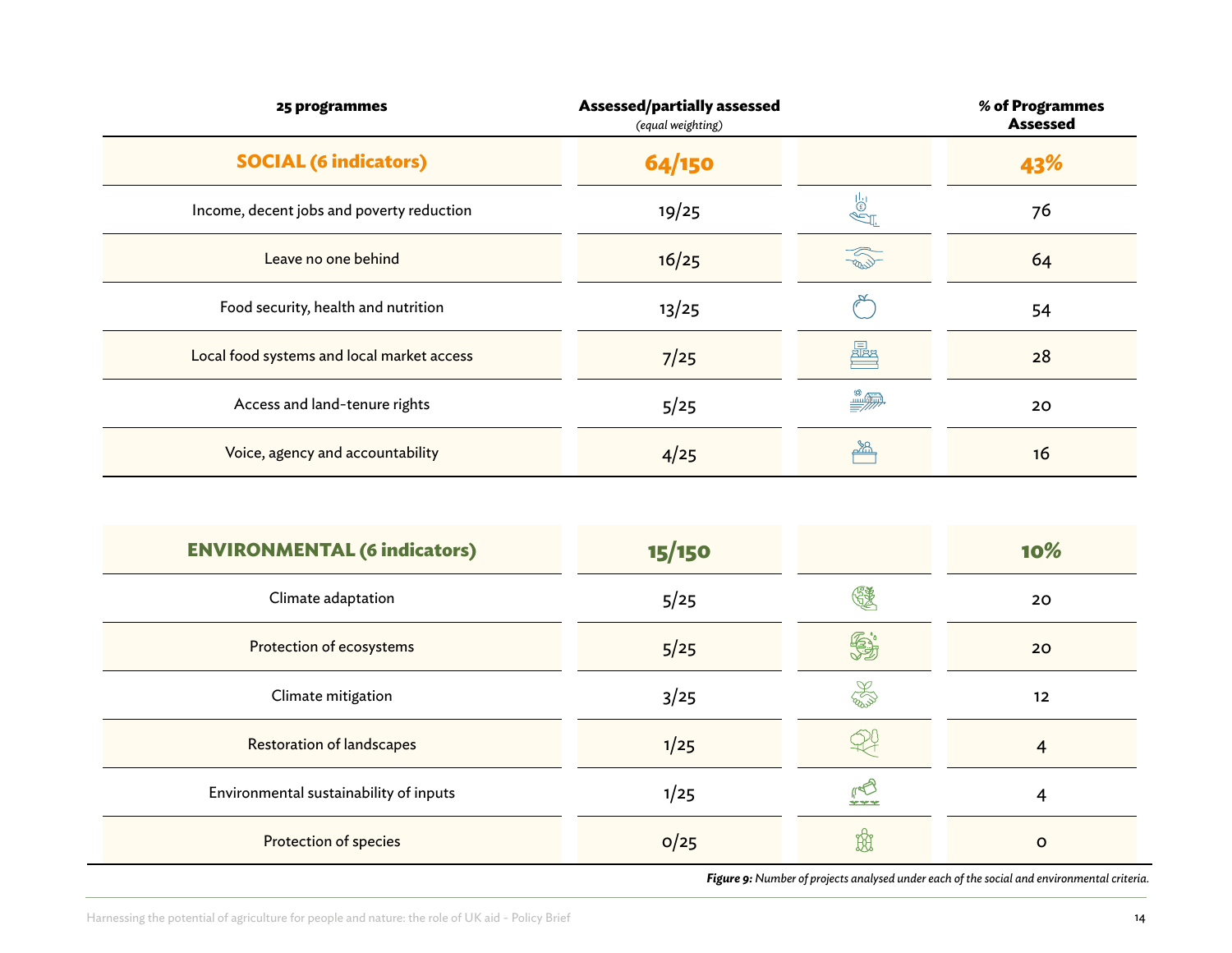| 25 programmes                              | <b>Assessed/partially assessed</b><br>(equal weighting) |                                | % of Programmes<br><b>Assessed</b> |
|--------------------------------------------|---------------------------------------------------------|--------------------------------|------------------------------------|
| <b>SOCIAL (6 indicators)</b>               | 64/150                                                  |                                | 43%                                |
| Income, decent jobs and poverty reduction  | 19/25                                                   | ö<br>                          | 76                                 |
| Leave no one behind                        | 16/25                                                   | <b>CRAS</b>                    | 64                                 |
| Food security, health and nutrition        | 13/25                                                   |                                | 54                                 |
| Local food systems and local market access | 7/25                                                    | 曏                              | 28                                 |
| Access and land-tenure rights              | 5/25                                                    | $\stackrel{\circledR}{\equiv}$ | 20                                 |
| Voice, agency and accountability           | 4/25                                                    | ഛ്ഥ                            | 16                                 |

| <b>ENVIRONMENTAL (6 indicators)</b>    | 15/150 |                    | 10%      |
|----------------------------------------|--------|--------------------|----------|
| Climate adaptation                     | 5/25   |                    | 20       |
| Protection of ecosystems               | 5/25   | $\mathbf{\hat{e}}$ | 20       |
| Climate mitigation                     | 3/25   | E                  | $12 \,$  |
| <b>Restoration of landscapes</b>       | 1/25   |                    | 4        |
| Environmental sustainability of inputs | 1/25   | 909090             | 4        |
| Protection of species                  | O/25   | $\mathbb{R}$       | $\Omega$ |

*Figure 9: Number of projects analysed under each of the social and environmental criteria.* 

-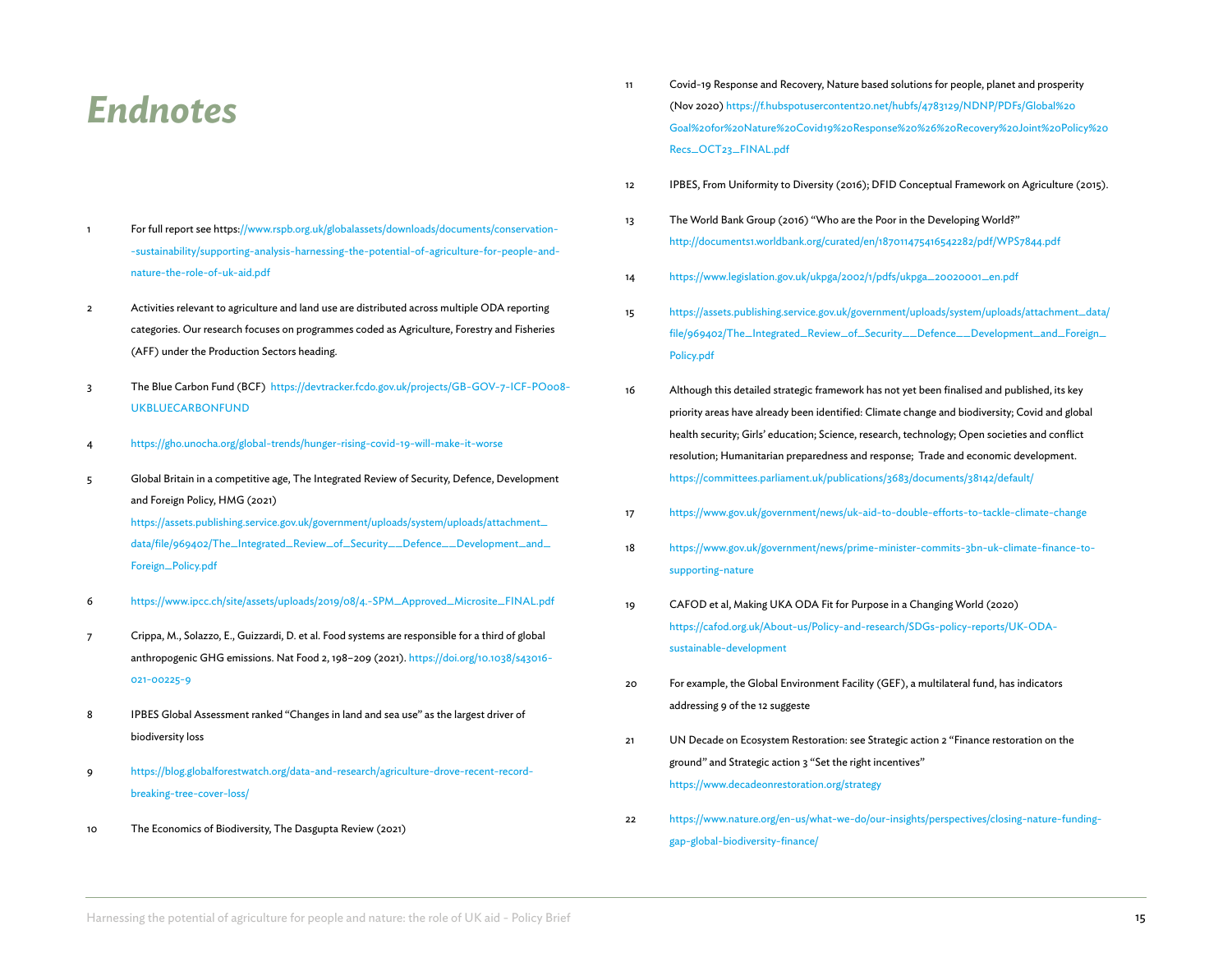### *Endnotes*

- 1 For full report see https://www.rspb.org.uk/globalassets/downloads/documents/conservation- -sustainability/supporting-analysis-harnessing-the-potential-of-agriculture-for-people-andnature-the-role-of-uk-aid.pdf
- 2 Activities relevant to agriculture and land use are distributed across multiple ODA reporting categories. Our research focuses on programmes coded as Agriculture, Forestry and Fisheries (AFF) under the Production Sectors heading.
- 3 The Blue Carbon Fund (BCF) [https://devtracker.fcdo.gov.uk/projects/GB-GOV-7-ICF-PO008-](https://linkprotect.cudasvc.com/url?a=https%3a%2f%2fdevtracker.fcdo.gov.uk%2fprojects%2fGB-GOV-7-ICF-PO008-UKBLUECARBONFUND&c=E,1,V84xQSZGvbbFxwIHWgbOrHGQ3iwRiGqrA6RYZ5y7Be3giS2PpO1C72IXMQnXEwJAnxNkAY3oeae039KI_ndf61R2rzU3f-yTsY7w2n3gAz5ktA,,&typo=1&ancr_add=1) [UKBLUECARBONFUND](https://linkprotect.cudasvc.com/url?a=https%3a%2f%2fdevtracker.fcdo.gov.uk%2fprojects%2fGB-GOV-7-ICF-PO008-UKBLUECARBONFUND&c=E,1,V84xQSZGvbbFxwIHWgbOrHGQ3iwRiGqrA6RYZ5y7Be3giS2PpO1C72IXMQnXEwJAnxNkAY3oeae039KI_ndf61R2rzU3f-yTsY7w2n3gAz5ktA,,&typo=1&ancr_add=1)
- 4 https://gho.unocha.org/global-trends/hunger-rising-covid-19-will-make-it-worse
- 5 Global Britain in a competitive age, The Integrated Review of Security, Defence, Development and Foreign Policy, HMG (2021)

[https://assets.publishing.service.gov.uk/government/uploads/system/uploads/attachment\\_](https://assets.publishing.service.gov.uk/government/uploads/system/uploads/attachment_data/file/969402/The_Integrated_Review_of_Security__Defence__Development_and_Foreign_Policy.pdf) [data/file/969402/The\\_Integrated\\_Review\\_of\\_Security\\_\\_Defence\\_\\_Development\\_and\\_](https://assets.publishing.service.gov.uk/government/uploads/system/uploads/attachment_data/file/969402/The_Integrated_Review_of_Security__Defence__Development_and_Foreign_Policy.pdf) [Foreign\\_Policy.pdf](https://assets.publishing.service.gov.uk/government/uploads/system/uploads/attachment_data/file/969402/The_Integrated_Review_of_Security__Defence__Development_and_Foreign_Policy.pdf) 

- 6 [https://www.ipcc.ch/site/assets/uploads/2019/08/4.-SPM\\_Approved\\_Microsite\\_FINAL.pdf](https://www.ipcc.ch/site/assets/uploads/2019/08/4.-SPM_Approved_Microsite_FINAL.pdf)
- 7 Crippa, M., Solazzo, E., Guizzardi, D. et al. Food systems are responsible for a third of global anthropogenic GHG emissions. Nat Food 2, 198–209 (2021). https://doi.org/10.1038/s43016- 021-00225-9
- 8 IPBES Global Assessment ranked "Changes in land and sea use" as the largest driver of biodiversity loss
- 9 [https://blog.globalforestwatch.org/data-and-research/agriculture-drove-recent-record](https://blog.globalforestwatch.org/data-and-research/agriculture-drove-recent-record-breaking-tree-cover-loss/)[breaking-tree-cover-loss/](https://blog.globalforestwatch.org/data-and-research/agriculture-drove-recent-record-breaking-tree-cover-loss/)
- 10 The Economics of Biodiversity, The Dasgupta Review (2021)
- 11 Covid-19 Response and Recovery, Nature based solutions for people, planet and prosperity (Nov 2020) [https://f.hubspotusercontent20.net/hubfs/4783129/NDNP/PDFs/Global%20](https://f.hubspotusercontent20.net/hubfs/4783129/NDNP/PDFs/Global%20Goal%20for%20Nature%20Covid19%20Response%20%26%20Recovery%20Joint%20Policy%20Recs_OCT23_FINAL.pdf) [Goal%20for%20Nature%20Covid19%20Response%20%26%20Recovery%20Joint%20Policy%20](https://f.hubspotusercontent20.net/hubfs/4783129/NDNP/PDFs/Global%20Goal%20for%20Nature%20Covid19%20Response%20%26%20Recovery%20Joint%20Policy%20Recs_OCT23_FINAL.pdf) [Recs\\_OCT23\\_FINAL.pdf](https://f.hubspotusercontent20.net/hubfs/4783129/NDNP/PDFs/Global%20Goal%20for%20Nature%20Covid19%20Response%20%26%20Recovery%20Joint%20Policy%20Recs_OCT23_FINAL.pdf)
- 12 IPBES, From Uniformity to Diversity (2016); DFID Conceptual Framework on Agriculture (2015).
- 13 The World Bank Group (2016) "Who are the Poor in the Developing World?" <http://documents1.worldbank.org/curated/en/187011475416542282/pdf/WPS7844.pdf>
- 14 [https://www.legislation.gov.uk/ukpga/2002/1/pdfs/ukpga\\_20020001\\_en.pdf](https://www.legislation.gov.uk/ukpga/2002/1/pdfs/ukpga_20020001_en.pdf)
- 15 [https://assets.publishing.service.gov.uk/government/uploads/system/uploads/attachment\\_data/](https://assets.publishing.service.gov.uk/government/uploads/system/uploads/attachment_data/file/969402/The_Integrated_Review_of_Security__Defence__Development_and_Foreign_Policy.pdf) [file/969402/The\\_Integrated\\_Review\\_of\\_Security\\_\\_Defence\\_\\_Development\\_and\\_Foreign\\_](https://assets.publishing.service.gov.uk/government/uploads/system/uploads/attachment_data/file/969402/The_Integrated_Review_of_Security__Defence__Development_and_Foreign_Policy.pdf) [Policy.pdf](https://assets.publishing.service.gov.uk/government/uploads/system/uploads/attachment_data/file/969402/The_Integrated_Review_of_Security__Defence__Development_and_Foreign_Policy.pdf)
- 16 Although this detailed strategic framework has not yet been finalised and published, its key priority areas have already been identified: Climate change and biodiversity; Covid and global health security; Girls' education; Science, research, technology; Open societies and conflict resolution; Humanitarian preparedness and response; Trade and economic development. <https://committees.parliament.uk/publications/3683/documents/38142/default/>
- 17 <https://www.gov.uk/government/news/uk-aid-to-double-efforts-to-tackle-climate-change>
- 18 [https://www.gov.uk/government/news/prime-minister-commits-3bn-uk-climate-finance-to](https://www.gov.uk/government/news/prime-minister-commits-3bn-uk-climate-finance-to-supporting-nature)[supporting-nature](https://www.gov.uk/government/news/prime-minister-commits-3bn-uk-climate-finance-to-supporting-nature)
- 19 CAFOD et al, Making UKA ODA Fit for Purpose in a Changing World (2020) [https://cafod.org.uk/About-us/Policy-and-research/SDGs-policy-reports/UK-ODA](https://cafod.org.uk/About-us/Policy-and-research/SDGs-policy-reports/UK-ODA-sustainable-development)[sustainable-development](https://cafod.org.uk/About-us/Policy-and-research/SDGs-policy-reports/UK-ODA-sustainable-development)
- 20 For example, the Global Environment Facility (GEF), a multilateral fund, has indicators addressing 9 of the 12 suggeste
- 21 UN Decade on Ecosystem Restoration: see Strategic action 2 "Finance restoration on the ground" and Strategic action 3 "Set the right incentives" https://www.decadeonrestoration.org/strategy
- 22 [https://www.nature.org/en-us/what-we-do/our-insights/perspectives/closing-nature-funding](https://www.nature.org/en-us/what-we-do/our-insights/perspectives/closing-nature-funding-gap-global-biodiversity-finance/)[gap-global-biodiversity-finance/](https://www.nature.org/en-us/what-we-do/our-insights/perspectives/closing-nature-funding-gap-global-biodiversity-finance/)